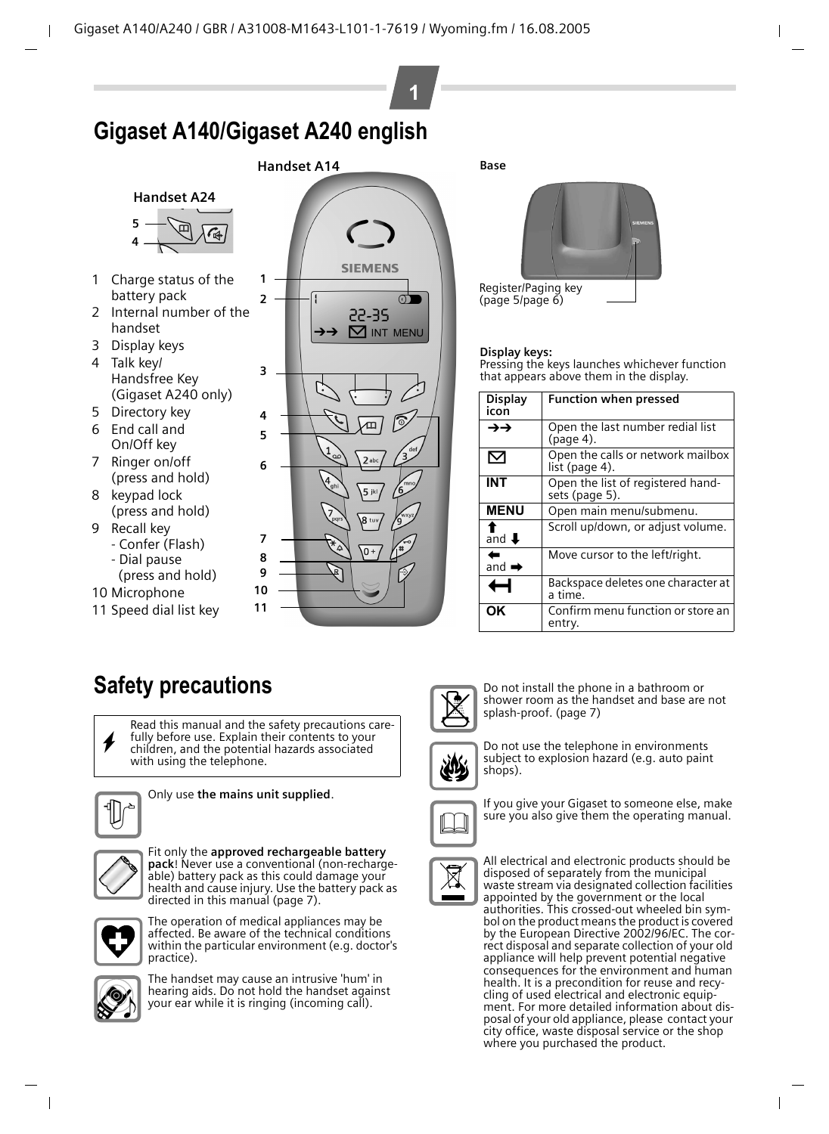# **Gigaset A140/Gigaset A240 english**

#### **Handset A24**



- 1 Charge status of the battery pack
- 2 Internal number of the handset
- 3 Display keys
- 4 Talk key/ Handsfree Key (Gigaset A240 only)
- 5 Directory key
- 6 End call and On/Off key
- 7 Ringer on/off (press and hold)
- 8 keypad lock (press and hold)
- 9 Recall key - Confer (Flash)
	- Dial pause
	- (press and hold)
- 10 Microphone
- 11 Speed dial list key



**1**



Register/Paging key ([page 5/](#page-4-1)[page 6](#page-5-0))

#### **Display keys:**

<span id="page-0-1"></span>**Base**

Pressing the keys launches whichever function that appears above them in the display.

<span id="page-0-0"></span>

| <b>Display</b><br>icon | <b>Function when pressed</b>                        |
|------------------------|-----------------------------------------------------|
| →→                     | Open the last number redial list<br>$(page 4)$ .    |
| 罓                      | Open the calls or network mailbox<br>list (page 4). |
| INT                    | Open the list of registered hand-<br>sets (page 5). |
| <b>MENU</b>            | Open main menu/submenu.                             |
| and $\biguparrow$      | Scroll up/down, or adjust volume.                   |
| and $\rightarrow$      | Move cursor to the left/right.                      |
|                        | Backspace deletes one character at<br>a time.       |
| OK                     | Confirm menu function or store an<br>entry.         |

# **Safety precautions**

Read this manual and the safety precautions care-<br> **fully before use.** Explain their contents to your<br>
children, and the potential hazards associated children, and the potential hazards associated with using the telephone.



Only use **the mains unit supplied**.



Fit only the **approved rechargeable battery pack**! Never use a conventional (non-rechargeable) battery pack as this could damage your health and cause injury. Use the battery pack as directed in this manual [\(page 7\).](#page-6-0)



The operation of medical appliances may be affected. Be aware of the technical conditions within the particular environment (e.g. doctor's practice).



The handset may cause an intrusive 'hum' in hearing aids. Do not hold the handset against your ear while it is ringing (incoming call).



Do not install the phone in a bathroom or shower room as the handset and base are not splash-proof. [\(page 7\)](#page-6-1)



Do not use the telephone in environments subject to explosion hazard (e.g. auto paint shops).



If you give your Gigaset to someone else, make sure you also give them the operating manual.



All electrical and electronic products should be disposed of separately from the municipal waste stream via designated collection facilities appointed by the government or the local authorities. This crossed-out wheeled bin symbol on the product means the product is covered by the European Directive 2002/96/EC. The correct disposal and separate collection of your old appliance will help prevent potential negative consequences for the environment and human health. It is a precondition for reuse and recycling of used electrical and electronic equipment. For more detailed information about disposal of your old appliance, please contact your city office, waste disposal service or the shop where you purchased the product.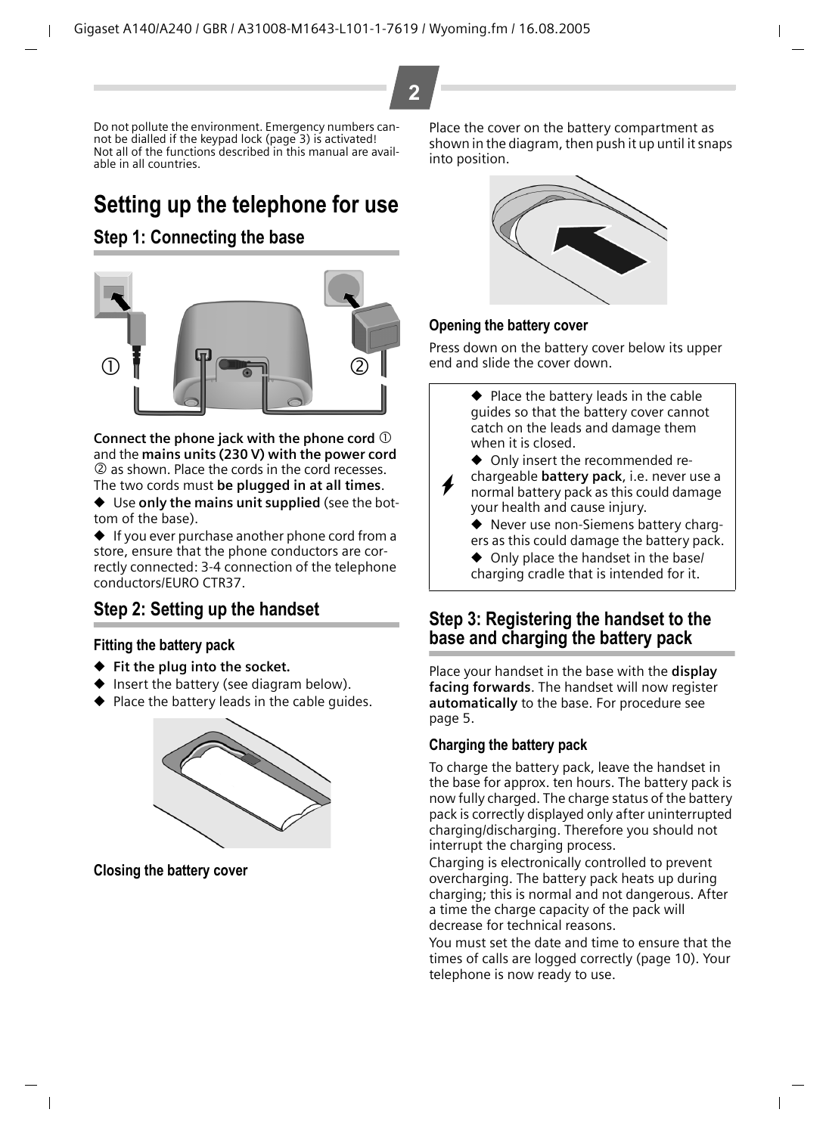Do not pollute the environment. Emergency numbers cannot be dialled if the keypad lock ([page 3\)](#page-2-0) is activated! Not all of the functions described in this manual are available in all countries.

# **Setting up the telephone for use**

### <span id="page-1-1"></span>**Step 1: Connecting the base**



**Connect the phone jack with the phone cord**  $\mathbb O$ and the **mains units (230 V) with the power cord** 2 as shown. Place the cords in the cord recesses. The two cords must **be plugged in at all times**.

◆ Use **only the mains unit supplied** (see the bottom of the base).

◆ If you ever purchase another phone cord from a store, ensure that the phone conductors are correctly connected: 3-4 connection of the telephone conductors/EURO CTR37.

### **Step 2: Setting up the handset**

#### **Fitting the battery pack**

- ◆ **Fit the plug into the socket.**
- Insert the battery (see diagram below).
- Place the battery leads in the cable guides.



**Closing the battery cover** 

Place the cover on the battery compartment as shown in the diagram, then push it up until it snaps into position.



#### **Opening the battery cover**

Press down on the battery cover below its upper end and slide the cover down.



Place your handset in the base with the **display facing forwards**. The handset will now register **automatically** to the base. For procedure [see](#page-4-2)  [page 5](#page-4-2).

#### <span id="page-1-0"></span>**Charging the battery pack**

To charge the battery pack, leave the handset in the base for approx. ten hours. The battery pack is now fully charged. The charge status of the battery pack is correctly displayed only after uninterrupted charging/discharging. Therefore you should not interrupt the charging process.

Charging is electronically controlled to prevent overcharging. The battery pack heats up during charging; this is normal and not dangerous. After a time the charge capacity of the pack will decrease for technical reasons.

You must set the date and time to ensure that the times of calls are logged correctly [\(page 10\).](#page-9-0) Your telephone is now ready to use.

**2**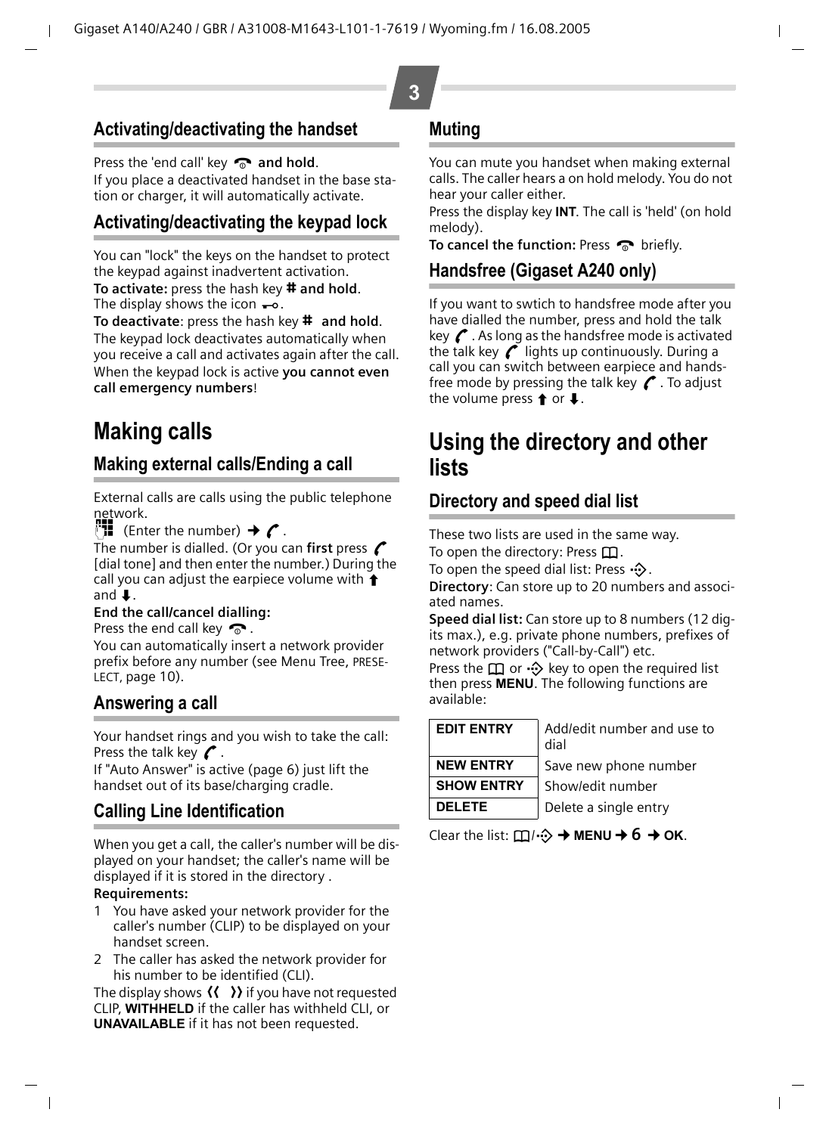### **Activating/deactivating the handset**

Press the 'end call' key **a** and hold. If you place a deactivated handset in the base station or charger, it will automatically activate.

### <span id="page-2-0"></span>**Activating/deactivating the keypad lock**

You can "lock" the keys on the handset to protect the keypad against inadvertent activation. **To activate:** press the hash key **# and hold**. The display shows the icon  $\rightarrow$ .

**To deactivate:** press the hash key **#** and hold. The keypad lock deactivates automatically when you receive a call and activates again after the call. When the keypad lock is active **you cannot even call emergency numbers**!

# **Making calls**

### **Making external calls/Ending a call**

External calls are calls using the public telephone network.

 $^{\mathbb{F}}\mathbf{H}$  (Enter the number)  $\rightarrow$  (

The number is dialled. (Or you can **first** press  $\mathcal{C}$ [dial tone] and then enter the number.) During the call you can adjust the earpiece volume with  $\triangleq$ and  $\mathbf{I}$ .

#### **End the call/cancel dialling:**

Press the end call key  $\bullet$ .

You can automatically insert a network provider prefix before any number (see Menu Tree, PRESE-LECT, [page 10\)](#page-9-0).

### **Answering a call**

Your handset rings and you wish to take the call: Press the talk key  $\curvearrowright$ .

If "Auto Answer" is active [\(page 6\)](#page-5-1) just lift the handset out of its base/charging cradle.

### **Calling Line Identification**

When you get a call, the caller's number will be displayed on your handset; the caller's name will be displayed if it is stored in the directory .

#### **Requirements:**

- 1 You have asked your network provider for the caller's number (CLIP) to be displayed on your handset screen.
- 2 The caller has asked the network provider for his number to be identified (CLI).

The display shows  $\langle \langle \rangle \rangle$  if you have not requested CLIP, **WITHHELD** if the caller has withheld CLI, or **UNAVAILABLE** if it has not been requested.

### **Muting**

You can mute you handset when making external calls. The caller hears a on hold melody. You do not hear your caller either.

Press the display key **INT**. The call is 'held' (on hold melody).

**To cancel the function:** Press  $\sim$  briefly.

### **Handsfree (Gigaset A240 only)**

If you want to swtich to handsfree mode after you have dialled the number, press and hold the talk key  $\mathcal C$ . As long as the handsfree mode is activated the talk key  $\mathcal C$  lights up continuously. During a call you can switch between earpiece and handsfree mode by pressing the talk key  $\mathcal C$ . To adjust the volume press  $\uparrow$  or  $\downarrow$ .

# **Using the directory and other lists**

### **Directory and speed dial list**

These two lists are used in the same way.

To open the directory: Press  $\Box$ .

To open the speed dial list: Press  $\cdot$   $\cdot$ .

**Directory**: Can store up to 20 numbers and associated names.

**Speed dial list:** Can store up to 8 numbers (12 digits max.), e.g. private phone numbers, prefixes of network providers ("Call-by-Call") etc.

Press the  $\Box$  or  $\cdot \odot$  key to open the required list then press **MENU**. The following functions are available:

| <b>EDIT ENTRY</b> |   |
|-------------------|---|
|                   | ٢ |
| <b>NEW ENTRY</b>  |   |
| <b>SHOW ENTRY</b> |   |
| <b>DELETE</b>     |   |

**EDIT ENTRY** Add/edit number and use to dial Save new phone number **SHOW ENTRY** Show/edit number Delete a single entry

Clear the list:  $\Box/\Diamond \rightarrow \mathsf{MENU} \rightarrow 6 \rightarrow \mathsf{OK}$ .

**3**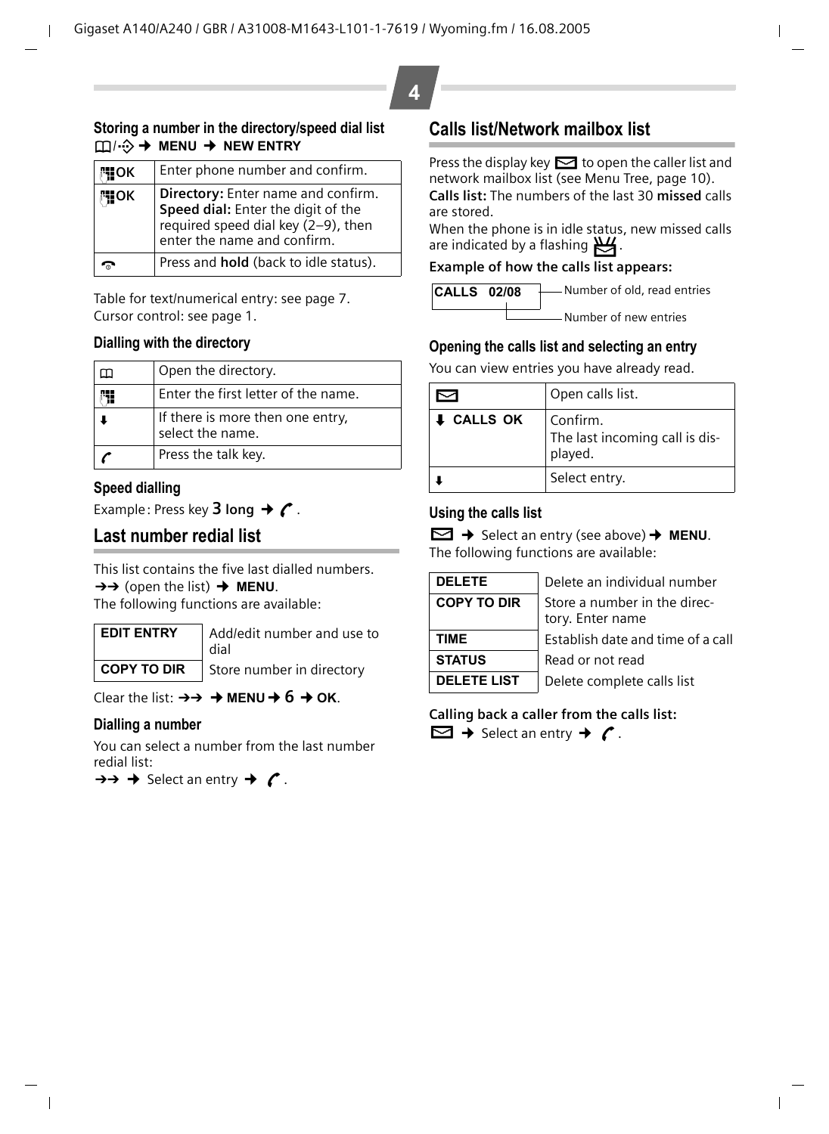#### **Storing a number in the directory/speed dial list** h/C¢ **MENU** ¢ **NEW ENTRY**

| μ¶οκ | Enter phone number and confirm.                                                                                                                |
|------|------------------------------------------------------------------------------------------------------------------------------------------------|
| 隅OK  | Directory: Enter name and confirm.<br>Speed dial: Enter the digit of the<br>required speed dial key (2-9), then<br>enter the name and confirm. |
|      | Press and <b>hold</b> (back to idle status).                                                                                                   |

Table for text/numerical entry: [see page 7.](#page-6-2) Cursor control: [see page 1](#page-0-0).

#### **Dialling with the directory**

| Open the directory.                                  |
|------------------------------------------------------|
| Enter the first letter of the name.                  |
| If there is more then one entry,<br>select the name. |
| Press the talk key.                                  |

#### **Speed dialling**

Example: Press key **3 long**  $\rightarrow$   $\curvearrowright$ .

### <span id="page-3-0"></span>**Last number redial list**

This list contains the five last dialled numbers.  $\rightarrow$  (open the list)  $\rightarrow$  **MENU**. The following functions are available:

**EDIT ENTRY** Add/edit number and use to dial

**COPY TO DIR** Store number in directory

Clear the list:  $\rightarrow \rightarrow \rightarrow$  **MENU** $\rightarrow$  6  $\rightarrow$  OK.

#### **Dialling a number**

You can select a number from the last number redial list:

 $\rightarrow \rightarrow \rightarrow$  Select an entry  $\rightarrow$   $\rightarrow$   $\rightarrow$ 

### <span id="page-3-1"></span>**Calls list/Network mailbox list**

Press the display key  $\Box$  to open the caller list and network mailbox list (see Menu Tree, [page 10\)](#page-9-0). **Calls list:** The numbers of the last 30 **missed** calls are stored.

When the phone is in idle status, new missed calls are indicated by a flashing  $\mathbb{E}$ .

#### **Example of how the calls list appears:**



#### **Opening the calls list and selecting an entry**

You can view entries you have already read.

|                   | Open calls list.                                      |
|-------------------|-------------------------------------------------------|
| <b>I</b> CALLS OK | Confirm.<br>The last incoming call is dis-<br>played. |
|                   | Select entry.                                         |

#### **Using the calls list**

Û¢ Select an entry (see above)¢ **MENU**. The following functions are available:

| <b>DELETE</b>      |
|--------------------|
| <b>COPY TO DIR</b> |
|                    |
| TIME               |
| <b>STATUS</b>      |
| <b>DELETE LIST</b> |

**DELETE** Delete an individual number Store a number in the directory. Enter name **Establish date and time of a call STATUS** Read or not read Delete complete calls list

**Calling back a caller from the calls list:**

 $\Box \rightarrow$  Select an entry  $\rightarrow$   $\prime$ .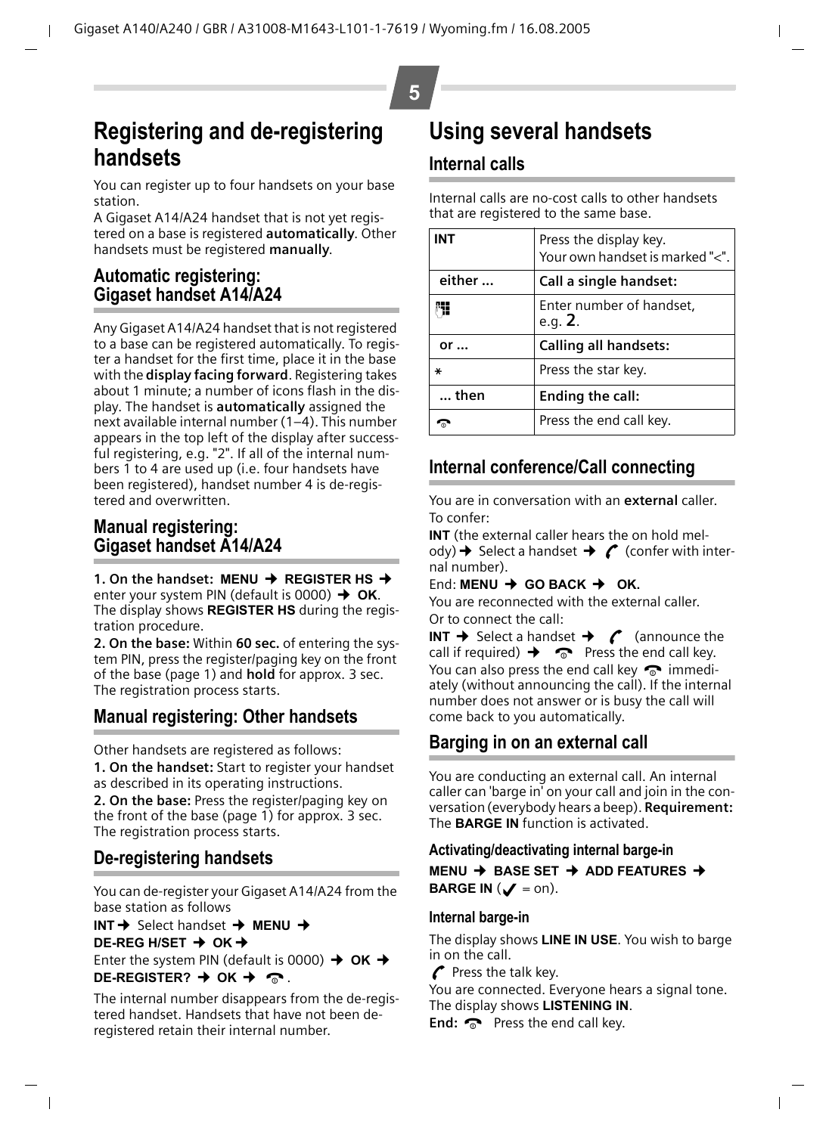# <span id="page-4-1"></span>**Registering and de-registering handsets**

You can register up to four handsets on your base station.

A Gigaset A14/A24 handset that is not yet registered on a base is registered **automatically**. Other handsets must be registered **manually**.

### <span id="page-4-2"></span>**Automatic registering: Gigaset handset A14/A24**

Any Gigaset A14/A24 handset that is not registered to a base can be registered automatically. To register a handset for the first time, place it in the base with the **display facing forward**. Registering takes about 1 minute; a number of icons flash in the display. The handset is **automatically** assigned the next available internal number (1–4). This number appears in the top left of the display after successful registering, e.g. "2". If all of the internal numbers 1 to 4 are used up (i.e. four handsets have been registered), handset number 4 is de-registered and overwritten.

### <span id="page-4-3"></span>**Manual registering: Gigaset handset A14/A24**

**1. On the handset: MENU → REGISTER HS →** enter your system PIN (default is 0000) **→ OK**. The display shows **REGISTER HS** during the registration procedure.

**2. On the base:** Within **60 sec.** of entering the system PIN, press the register/paging key on the front of the base [\(page 1\)](#page-0-1) and **hold** for approx. 3 sec. The registration process starts.

### **Manual registering: Other handsets**

Other handsets are registered as follows:

**1. On the handset:** Start to register your handset as described in its operating instructions.

**2. On the base:** Press the register/paging key on the front of the base [\(page 1\)](#page-0-1) for approx. 3 sec. The registration process starts.

### **De-registering handsets**

You can de-register your Gigaset A14/A24 from the base station as follows

**INT** → Select handset → MENU → **DE-REG H/SET → OK →** 

Enter the system PIN (default is 0000)  $\rightarrow$  OK  $\rightarrow$ **DE-REGISTER?**  $\rightarrow$  OK  $\rightarrow \infty$ .

The internal number disappears from the de-registered handset. Handsets that have not been deregistered retain their internal number.

# <span id="page-4-0"></span>**Using several handsets**

### **Internal calls**

Internal calls are no-cost calls to other handsets that are registered to the same base.

| INT          | Press the display key.<br>Your own handset is marked "<". |
|--------------|-----------------------------------------------------------|
| either       | Call a single handset:                                    |
|              | Enter number of handset,<br>e.g. $2.$                     |
| $or \dots$   | <b>Calling all handsets:</b>                              |
| ∗            | Press the star key.                                       |
| $\dots$ then | Ending the call:                                          |
|              | Press the end call key.                                   |

### **Internal conference/Call connecting**

You are in conversation with an **external** caller. To confer:

**INT** (the external caller hears the on hold melody)  $\rightarrow$  Select a handset  $\rightarrow$  (confer with internal number).

#### End: **MENU** ¢ **GO BACK** ¢ **OK.**

You are reconnected with the external caller. Or to connect the call:

**INT**  $\rightarrow$  Select a handset  $\rightarrow$   $\infty$  (announce the call if required)  $\rightarrow \infty$  Press the end call key. You can also press the end call key  $\bullet$  immediately (without announcing the call). If the internal number does not answer or is busy the call will come back to you automatically.

### **Barging in on an external call**

You are conducting an external call. An internal caller can 'barge in' on your call and join in the conversation (everybody hears a beep). **Requirement:** The **BARGE IN** function is activated.

#### **Activating/deactivating internal barge-in**

**MENU** ¢ **BASE SET** ¢ **ADD FEATURES** ¢ **BARGE IN**  $(\mathcal{J} = \text{on}).$ 

#### **Internal barge-in**

The display shows **LINE IN USE**. You wish to barge in on the call.

 $\Gamma$  Press the talk key.

You are connected. Everyone hears a signal tone. The display shows **LISTENING IN**.

**End:** a Press the end call key.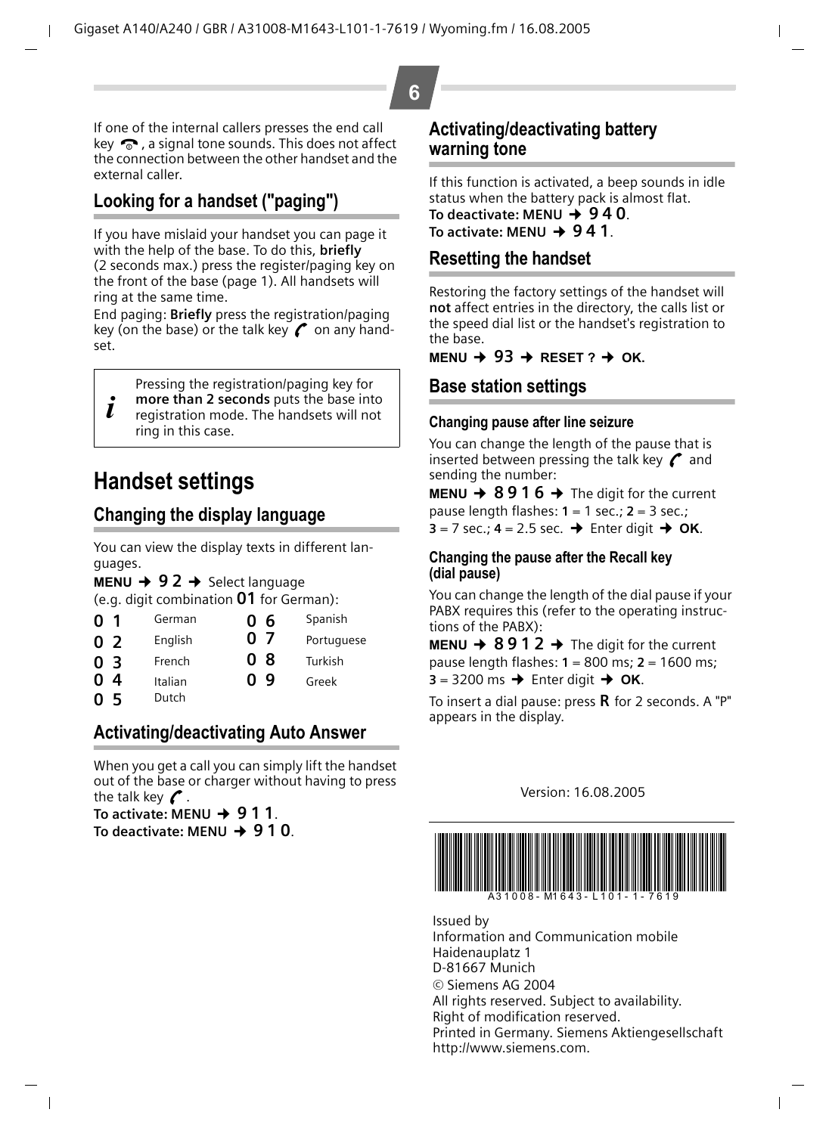## **6**

If one of the internal callers presses the end call key  $\bullet$ , a signal tone sounds. This does not affect the connection between the other handset and the external caller.

## <span id="page-5-0"></span>**Looking for a handset ("paging")**

If you have mislaid your handset you can page it with the help of the base. To do this, **briefly** (2 seconds max.) press the register/paging key on the front of the base [\(page 1\).](#page-0-1) All handsets will ring at the same time.

End paging: **Briefly** press the registration/paging key (on the base) or the talk key  $\curvearrowright$  on any handset.

Pressing the registration/paging key for

i **more than 2 seconds** puts the base into registration mode. The handsets will not ring in this case.

# **Handset settings**

### **Changing the display language**

You can view the display texts in different languages.

**MENU**  $\rightarrow$  **92**  $\rightarrow$  Select language

(e.g. digit combination Q1 for German):

| 01     | German  | 06  | Spanish    |
|--------|---------|-----|------------|
| 02     | English | 07  | Portuguese |
| 03     | French  | 08  | Turkish    |
| 0<br>4 | Italian | በ ዓ | Greek      |
| 05     | Dutch   |     |            |

### <span id="page-5-1"></span>**Activating/deactivating Auto Answer**

When you get a call you can simply lift the handset out of the base or charger without having to press the talk key  $\curvearrowleft$ .

To activate: MENU → 911. To deactivate: MENU **→ 9 1 0**.

#### **Activating/deactivating battery warning tone**

If this function is activated, a beep sounds in idle status when the battery pack is almost flat. To deactivate: MENU  $\rightarrow$  940. To activate: MENU **→ 941**.

### **Resetting the handset**

Restoring the factory settings of the handset will **not** affect entries in the directory, the calls list or the speed dial list or the handset's registration to the base.

#### $MENU \rightarrow 93 \rightarrow RFSFT$  ?  $\rightarrow$  OK.

#### **Base station settings**

#### **Changing pause after line seizure**

You can change the length of the pause that is inserted between pressing the talk key  $\mathcal C$  and sending the number:

**MENU**  $\rightarrow$  **8916**  $\rightarrow$  The digit for the current pause length flashes: **1** = 1 sec.; **2** = 3 sec.;  $3 = 7$  sec.;  $4 = 2.5$  sec.  $\rightarrow$  Enter digit  $\rightarrow$  OK.

#### **Changing the pause after the Recall key (dial pause)**

You can change the length of the dial pause if your PABX requires this (refer to the operating instructions of the PABX):

**MENU**  $\rightarrow$  **8912**  $\rightarrow$  The digit for the current pause length flashes: **1** = 800 ms; **2** = 1600 ms;  $3 = 3200 \text{ ms} \rightarrow$  Enter digit  $\rightarrow$  OK.

To insert a dial pause: press  $\bf R$  for 2 seconds. A "P" appears in the display.

#### Version: 16.08.2005



Issued by Information and Communication mobile Haidenauplatz 1 D-81667 Munich © Siemens AG 2004 All rights reserved. Subject to availability. Right of modification reserved. Printed in Germany. Siemens Aktiengesellschaft http://www.siemens.com.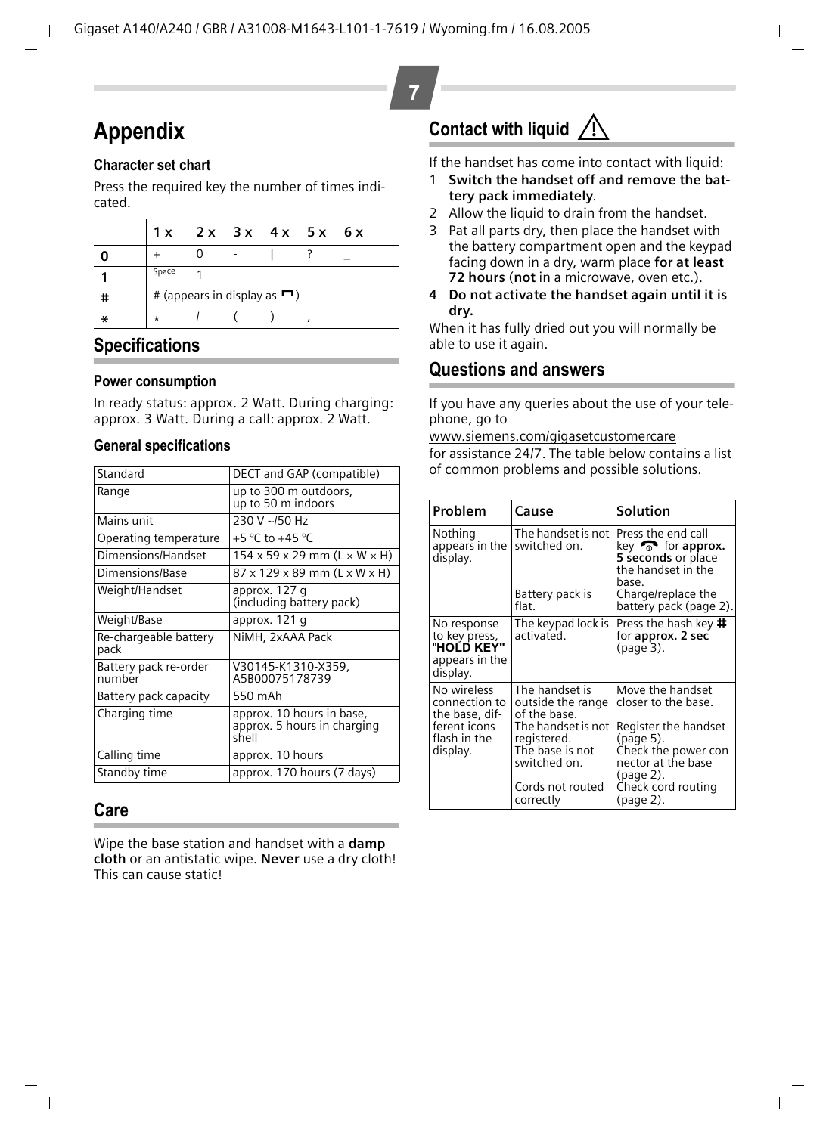# **Appendix**

#### <span id="page-6-2"></span>**Character set chart**

Press the required key the number of times indicated.

|   | 1 x     |  | 2x 3x 4x 5x 6x                            |  |
|---|---------|--|-------------------------------------------|--|
|   |         |  |                                           |  |
|   | Space   |  |                                           |  |
| # |         |  | # (appears in display as $\blacksquare$ ) |  |
|   | $\star$ |  |                                           |  |

### **Specifications**

#### **Power consumption**

In ready status: approx. 2 Watt. During charging: approx. 3 Watt. During a call: approx. 2 Watt.

#### <span id="page-6-0"></span>**General specifications**

| Standard                        | DECT and GAP (compatible)                                         |
|---------------------------------|-------------------------------------------------------------------|
| Range                           | up to 300 m outdoors,<br>up to 50 m indoors                       |
| Mains unit                      | 230 V ~/50 Hz                                                     |
| Operating temperature           | +5 °C to +45 °C                                                   |
| Dimensions/Handset              | $154 \times 59 \times 29$ mm (L $\times$ W $\times$ H)            |
| Dimensions/Base                 | 87 x 129 x 89 mm (L x W x H)                                      |
| Weight/Handset                  | approx. 127 q<br>(including battery pack)                         |
| Weight/Base                     | approx. 121 q                                                     |
| Re-chargeable battery<br>pack   | NiMH, 2xAAA Pack                                                  |
| Battery pack re-order<br>number | V30145-K1310-X359,<br>A5B00075178739                              |
| Battery pack capacity           | 550 mAh                                                           |
| Charging time                   | approx. 10 hours in base,<br>approx. 5 hours in charging<br>shell |
| Calling time                    | approx. 10 hours                                                  |
| Standby time                    | approx. 170 hours (7 days)                                        |

### **Care**

Wipe the base station and handset with a **damp cloth** or an antistatic wipe. **Never** use a dry cloth! This can cause static!

# <span id="page-6-1"></span>**Contact with liquid !**

If the handset has come into contact with liquid:

- 1 **Switch the handset off and remove the battery pack immediately**.
- 2 Allow the liquid to drain from the handset.
- 3 Pat all parts dry, then place the handset with the battery compartment open and the keypad facing down in a dry, warm place **for at least 72 hours** (**not** in a microwave, oven etc.).
- **4 Do not activate the handset again until it is dry.**

When it has fully dried out you will normally be able to use it again.

### **Questions and answers**

If you have any queries about the use of your telephone, go to

[www.siemens.com/gigasetcustomercare](http://www.siemens.com/gigasetcustomercare  )

for assistance 24/7. The table below contains a list of common problems and possible solutions.

| Problem                                                                  | Cause                                                                | Solution                                                                                                                                |
|--------------------------------------------------------------------------|----------------------------------------------------------------------|-----------------------------------------------------------------------------------------------------------------------------------------|
| Nothing<br>appears in the<br>display.                                    | The handset is not<br>switched on.<br>Battery pack is                | Press the end call<br>key $\widehat{\mathbb{R}}$ for approx.<br>5 seconds or place<br>the handset in the<br>base.<br>Charge/replace the |
|                                                                          | flat.                                                                | battery pack (page 2).                                                                                                                  |
| No response<br>to key press,<br>"HOLD KEY"<br>appears in the<br>display. | The keypad lock is<br>activated.                                     | Press the hash key #<br>for approx. 2 sec<br>(page 3).                                                                                  |
| No wireless<br>connection to<br>the base, dif-                           | The handset is<br>outside the range<br>of the base.                  | Move the handset<br>closer to the base.                                                                                                 |
| ferent icons<br>flash in the<br>display.                                 | The handset is not<br>registered.<br>The base is not<br>switched on. | Register the handset<br>(page 5).<br>Check the power con-<br>nector at the base<br>(page 2).                                            |
|                                                                          | Cords not routed<br>correctly                                        | Check cord routing<br>(page 2).                                                                                                         |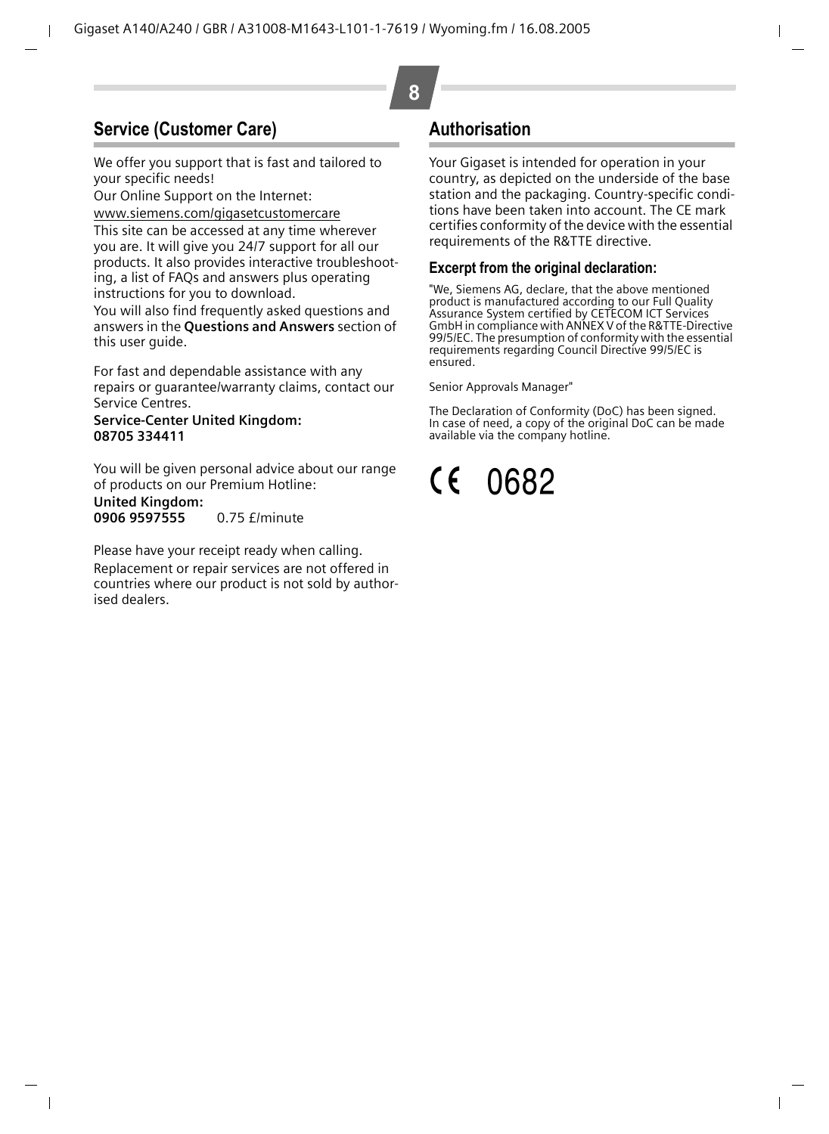### **Service (Customer Care)**

We offer you support that is fast and tailored to your specific needs!

Our Online Support on the Internet:

[www.siemens.com/gigasetcustomercare](http://www.siemens.com/gigasetcustomercare  )

This site can be accessed at any time wherever you are. It will give you 24/7 support for all our products. It also provides interactive troubleshooting, a list of FAQs and answers plus operating instructions for you to download.

You will also find frequently asked questions and answers in the **Questions and Answers** section of this user quide.

For fast and dependable assistance with any repairs or guarantee/warranty claims, contact our Service Centres.

#### **Service-Center United Kingdom: 08705 334411**

You will be given personal advice about our range of products on our Premium Hotline: **United Kingdom:**

**0906 9597555** 0.75 £/minute

Please have your receipt ready when calling. Replacement or repair services are not offered in countries where our product is not sold by authorised dealers.

### **Authorisation**

Your Gigaset is intended for operation in your country, as depicted on the underside of the base station and the packaging. Country-specific conditions have been taken into account. The CE mark certifies conformity of the device with the essential requirements of the R&TTE directive.

#### **Excerpt from the original declaration:**

"We, Siemens AG, declare, that the above mentioned product is manufactured according to our Full Quality Assurance System certified by CETECOM ICT Services GmbH in compliance with ANNEX V of the R&TTE-Directive 99/5/EC. The presumption of conformity with the essential requirements regarding Council Directive 99/5/EC is ensured.

Senior Approvals Manager"

The Declaration of Conformity (DoC) has been signed. In case of need, a copy of the original DoC can be made available via the company hotline.

#### $\epsilon$ 0682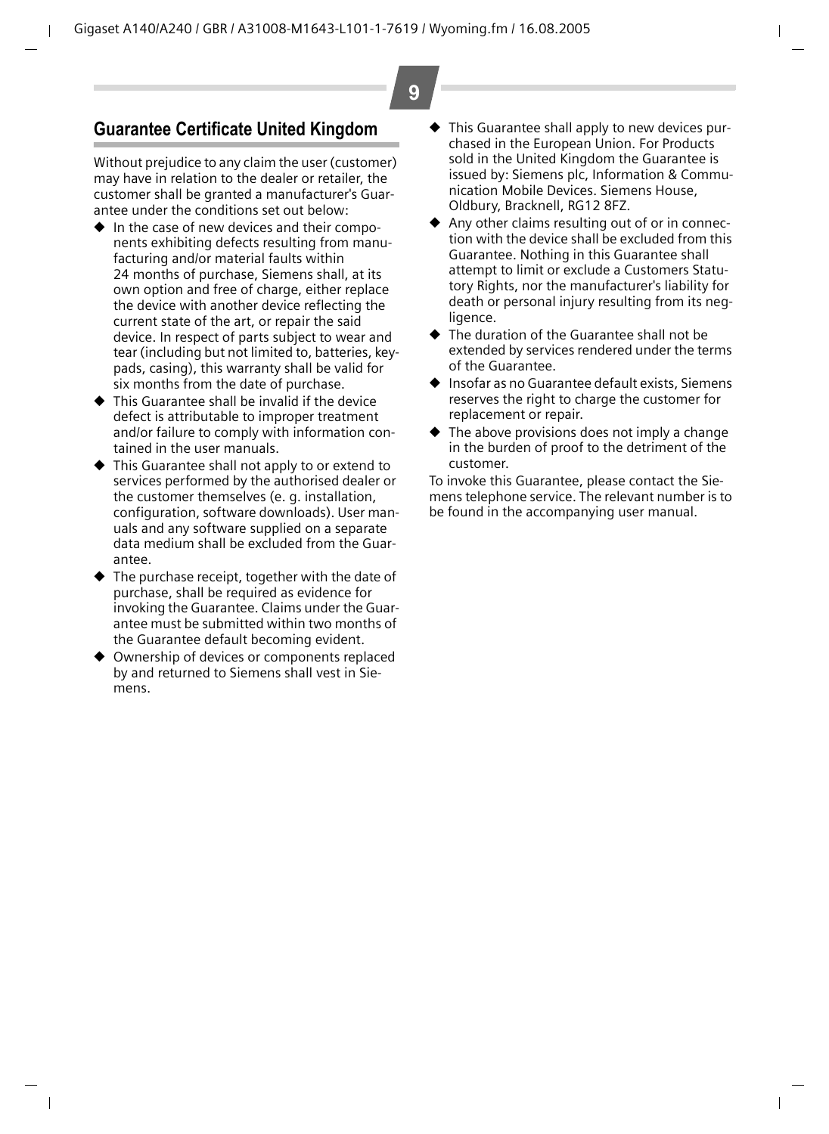### **Guarantee Certificate United Kingdom**

Without prejudice to any claim the user (customer) may have in relation to the dealer or retailer, the customer shall be granted a manufacturer's Guarantee under the conditions set out below:

- In the case of new devices and their components exhibiting defects resulting from manufacturing and/or material faults within 24 months of purchase, Siemens shall, at its own option and free of charge, either replace the device with another device reflecting the current state of the art, or repair the said device. In respect of parts subject to wear and tear (including but not limited to, batteries, keypads, casing), this warranty shall be valid for six months from the date of purchase.
- ◆ This Guarantee shall be invalid if the device defect is attributable to improper treatment and/or failure to comply with information contained in the user manuals.
- This Guarantee shall not apply to or extend to services performed by the authorised dealer or the customer themselves (e. g. installation, configuration, software downloads). User manuals and any software supplied on a separate data medium shall be excluded from the Guarantee.
- The purchase receipt, together with the date of purchase, shall be required as evidence for invoking the Guarantee. Claims under the Guarantee must be submitted within two months of the Guarantee default becoming evident.
- Ownership of devices or components replaced by and returned to Siemens shall vest in Siemens.

This Guarantee shall apply to new devices purchased in the European Union. For Products sold in the United Kingdom the Guarantee is issued by: Siemens plc, Information & Communication Mobile Devices. Siemens House, Oldbury, Bracknell, RG12 8FZ.

**9**

- ◆ Any other claims resulting out of or in connection with the device shall be excluded from this Guarantee. Nothing in this Guarantee shall attempt to limit or exclude a Customers Statutory Rights, nor the manufacturer's liability for death or personal injury resulting from its negligence.
- ◆ The duration of the Guarantee shall not be extended by services rendered under the terms of the Guarantee.
- ◆ Insofar as no Guarantee default exists, Siemens reserves the right to charge the customer for replacement or repair.
- The above provisions does not imply a change in the burden of proof to the detriment of the customer.

To invoke this Guarantee, please contact the Siemens telephone service. The relevant number is to be found in the accompanying user manual.